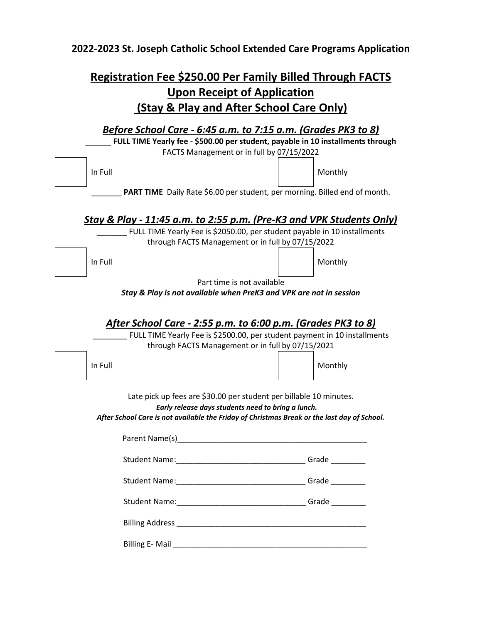## **2022-2023 St. Joseph Catholic School Extended Care Programs Application**

## **Registration Fee \$250.00 Per Family Billed Through FACTS Upon Receipt of Application (Stay & Play and After School Care Only)**

| <u>Before School Care - 6:45 a.m. to 7:15 a.m. (Grades PK3 to 8)</u>                                                                                                                                                                                                                                                                                                                                                                                      |            |  |
|-----------------------------------------------------------------------------------------------------------------------------------------------------------------------------------------------------------------------------------------------------------------------------------------------------------------------------------------------------------------------------------------------------------------------------------------------------------|------------|--|
| FULL TIME Yearly fee - \$500.00 per student, payable in 10 installments through                                                                                                                                                                                                                                                                                                                                                                           |            |  |
| FACTS Management or in full by 07/15/2022                                                                                                                                                                                                                                                                                                                                                                                                                 |            |  |
| In Full                                                                                                                                                                                                                                                                                                                                                                                                                                                   | Monthly    |  |
| PART TIME Daily Rate \$6.00 per student, per morning. Billed end of month.                                                                                                                                                                                                                                                                                                                                                                                |            |  |
| Stay & Play - 11:45 a.m. to 2:55 p.m. (Pre-K3 and VPK Students Only)                                                                                                                                                                                                                                                                                                                                                                                      |            |  |
| FULL TIME Yearly Fee is \$2050.00, per student payable in 10 installments                                                                                                                                                                                                                                                                                                                                                                                 |            |  |
| through FACTS Management or in full by 07/15/2022                                                                                                                                                                                                                                                                                                                                                                                                         |            |  |
| In Full                                                                                                                                                                                                                                                                                                                                                                                                                                                   | Monthly    |  |
| Part time is not available                                                                                                                                                                                                                                                                                                                                                                                                                                |            |  |
| Stay & Play is not available when PreK3 and VPK are not in session                                                                                                                                                                                                                                                                                                                                                                                        |            |  |
| After School Care - 2:55 p.m. to 6:00 p.m. (Grades PK3 to 8)<br>FULL TIME Yearly Fee is \$2500.00, per student payment in 10 installments<br>through FACTS Management or in full by 07/15/2021                                                                                                                                                                                                                                                            |            |  |
| In Full                                                                                                                                                                                                                                                                                                                                                                                                                                                   | Monthly    |  |
| Late pick up fees are \$30.00 per student per billable 10 minutes.<br>Early release days students need to bring a lunch.<br>After School Care is not available the Friday of Christmas Break or the last day of School.<br>Parent Name(s) example a series of the series of the series of the series of the series of the series of the series of the series of the series of the series of the series of the series of the series of the series of the s |            |  |
| Student Name: Name and Student Name and Student Name and Student Assembly                                                                                                                                                                                                                                                                                                                                                                                 | Grade      |  |
|                                                                                                                                                                                                                                                                                                                                                                                                                                                           | Grade $\_$ |  |
| Student Name:__________________________________Grade __________                                                                                                                                                                                                                                                                                                                                                                                           |            |  |
|                                                                                                                                                                                                                                                                                                                                                                                                                                                           |            |  |
|                                                                                                                                                                                                                                                                                                                                                                                                                                                           |            |  |